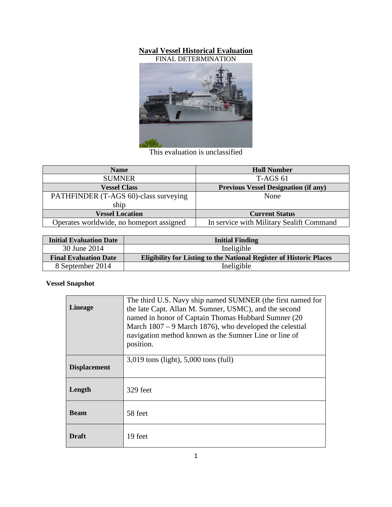## **Naval Vessel Historical Evaluation**



This evaluation is unclassified

| <b>Name</b>                              | <b>Hull Number</b>                          |
|------------------------------------------|---------------------------------------------|
| <b>SUMNER</b>                            | <b>T-AGS 61</b>                             |
| <b>Vessel Class</b>                      | <b>Previous Vessel Designation (if any)</b> |
| PATHFINDER (T-AGS 60)-class surveying    | None                                        |
| ship                                     |                                             |
| <b>Vessel Location</b>                   | <b>Current Status</b>                       |
| Operates worldwide, no homeport assigned | In service with Military Sealift Command    |

| <b>Initial Evaluation Date</b> | <b>Initial Finding</b>                                                     |
|--------------------------------|----------------------------------------------------------------------------|
| 30 June 2014                   | Ineligible                                                                 |
| <b>Final Evaluation Date</b>   | <b>Eligibility for Listing to the National Register of Historic Places</b> |
| 8 September 2014               | Ineligible                                                                 |

## **Vessel Snapshot**

| <b>Lineage</b>      | The third U.S. Navy ship named SUMNER (the first named for<br>the late Capt. Allan M. Sumner, USMC), and the second<br>named in honor of Captain Thomas Hubbard Sumner (20)<br>March $1807 - 9$ March 1876), who developed the celestial<br>navigation method known as the Sumner Line or line of<br>position. |
|---------------------|----------------------------------------------------------------------------------------------------------------------------------------------------------------------------------------------------------------------------------------------------------------------------------------------------------------|
| <b>Displacement</b> | $3,019$ tons (light), $5,000$ tons (full)                                                                                                                                                                                                                                                                      |
| Length              | 329 feet                                                                                                                                                                                                                                                                                                       |
| <b>Beam</b>         | 58 feet                                                                                                                                                                                                                                                                                                        |
| <b>Draft</b>        | 19 feet                                                                                                                                                                                                                                                                                                        |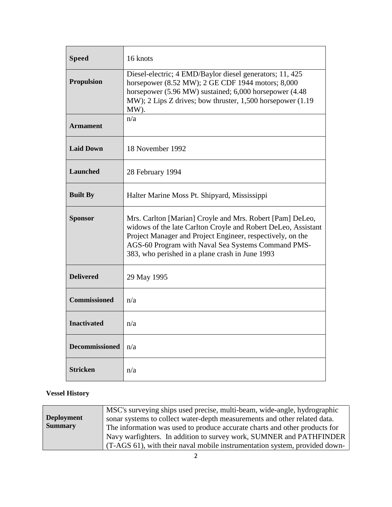| <b>Speed</b>          | 16 knots                                                                                                                                                                                                                                                                                          |
|-----------------------|---------------------------------------------------------------------------------------------------------------------------------------------------------------------------------------------------------------------------------------------------------------------------------------------------|
| <b>Propulsion</b>     | Diesel-electric; 4 EMD/Baylor diesel generators; 11, 425<br>horsepower (8.52 MW); 2 GE CDF 1944 motors; 8,000<br>horsepower (5.96 MW) sustained; 6,000 horsepower (4.48)<br>MW); $2$ Lips Z drives; bow thruster, 1,500 horsepower $(1.19)$<br>MW).                                               |
| <b>Armament</b>       | n/a                                                                                                                                                                                                                                                                                               |
| <b>Laid Down</b>      | 18 November 1992                                                                                                                                                                                                                                                                                  |
| <b>Launched</b>       | 28 February 1994                                                                                                                                                                                                                                                                                  |
| <b>Built By</b>       | Halter Marine Moss Pt. Shipyard, Mississippi                                                                                                                                                                                                                                                      |
| <b>Sponsor</b>        | Mrs. Carlton [Marian] Croyle and Mrs. Robert [Pam] DeLeo,<br>widows of the late Carlton Croyle and Robert DeLeo, Assistant<br>Project Manager and Project Engineer, respectively, on the<br>AGS-60 Program with Naval Sea Systems Command PMS-<br>383, who perished in a plane crash in June 1993 |
| <b>Delivered</b>      | 29 May 1995                                                                                                                                                                                                                                                                                       |
| <b>Commissioned</b>   | n/a                                                                                                                                                                                                                                                                                               |
| <b>Inactivated</b>    | n/a                                                                                                                                                                                                                                                                                               |
| <b>Decommissioned</b> | n/a                                                                                                                                                                                                                                                                                               |
| <b>Stricken</b>       | n/a                                                                                                                                                                                                                                                                                               |

## **Vessel History**

| <b>Deployment</b><br><b>Summary</b> | MSC's surveying ships used precise, multi-beam, wide-angle, hydrographic<br>sonar systems to collect water-depth measurements and other related data.<br>The information was used to produce accurate charts and other products for<br>Navy warfighters. In addition to survey work, SUMNER and PATHFINDER |
|-------------------------------------|------------------------------------------------------------------------------------------------------------------------------------------------------------------------------------------------------------------------------------------------------------------------------------------------------------|
|                                     | (T-AGS 61), with their naval mobile instrumentation system, provided down-                                                                                                                                                                                                                                 |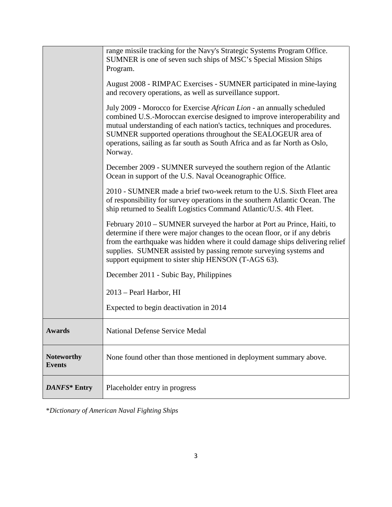|                                    | December 2009 - SUMNER surveyed the southern region of the Atlantic                                                                                                                                                                                                                                                                                               |
|------------------------------------|-------------------------------------------------------------------------------------------------------------------------------------------------------------------------------------------------------------------------------------------------------------------------------------------------------------------------------------------------------------------|
|                                    | Ocean in support of the U.S. Naval Oceanographic Office.                                                                                                                                                                                                                                                                                                          |
|                                    | 2010 - SUMNER made a brief two-week return to the U.S. Sixth Fleet area<br>of responsibility for survey operations in the southern Atlantic Ocean. The<br>ship returned to Sealift Logistics Command Atlantic/U.S. 4th Fleet.                                                                                                                                     |
|                                    | February 2010 - SUMNER surveyed the harbor at Port au Prince, Haiti, to<br>determine if there were major changes to the ocean floor, or if any debris<br>from the earthquake was hidden where it could damage ships delivering relief<br>supplies. SUMNER assisted by passing remote surveying systems and<br>support equipment to sister ship HENSON (T-AGS 63). |
|                                    | December 2011 - Subic Bay, Philippines                                                                                                                                                                                                                                                                                                                            |
|                                    | 2013 – Pearl Harbor, HI                                                                                                                                                                                                                                                                                                                                           |
|                                    | Expected to begin deactivation in 2014                                                                                                                                                                                                                                                                                                                            |
| Awards                             | <b>National Defense Service Medal</b>                                                                                                                                                                                                                                                                                                                             |
| <b>Noteworthy</b><br><b>Events</b> | None found other than those mentioned in deployment summary above.                                                                                                                                                                                                                                                                                                |
| DANFS* Entry                       | Placeholder entry in progress                                                                                                                                                                                                                                                                                                                                     |

\**Dictionary of American Naval Fighting Ships*